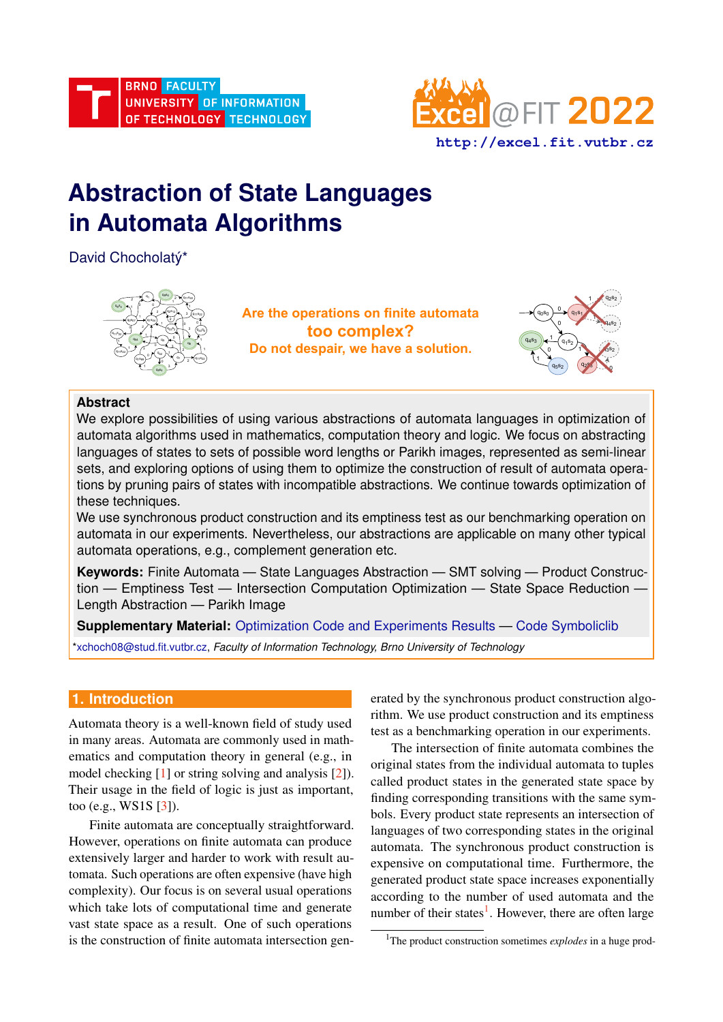

# **Abstraction of State Languages in Automata Algorithms**

David Chocholatý\*



**Are the operations on finite automata too complex? Do not despair, we have a solution.**



# **Abstract**

We explore possibilities of using various abstractions of automata languages in optimization of automata algorithms used in mathematics, computation theory and logic. We focus on abstracting languages of states to sets of possible word lengths or Parikh images, represented as semi-linear sets, and exploring options of using them to optimize the construction of result of automata operations by pruning pairs of states with incompatible abstractions. We continue towards optimization of these techniques.

We use synchronous product construction and its emptiness test as our benchmarking operation on automata in our experiments. Nevertheless, our abstractions are applicable on many other typical automata operations, e.g., complement generation etc.

**Keywords:** Finite Automata — State Languages Abstraction — SMT solving — Product Construction — Emptiness Test — Intersection Computation Optimization — State Space Reduction — Length Abstraction — Parikh Image

**Supplementary Material:** [Optimization Code and Experiments Results](https://codeberg.org/Adda/optifa) — [Code Symboliclib](https://codeberg.org/Adda/symboliclib)

[\\*xchoch08@stud.fit.vutbr.cz,](mailto:xchoch08@stud.fit.vutbr.cz) *Faculty of Information Technology, Brno University of Technology*

# **1. Introduction**

Automata theory is a well-known field of study used in many areas. Automata are commonly used in mathematics and computation theory in general (e.g., in model checking [\[1\]](#page-9-0) or string solving and analysis [\[2\]](#page-9-1)). Their usage in the field of logic is just as important, too (e.g., WS1S [\[3\]](#page-10-0)).

Finite automata are conceptually straightforward. However, operations on finite automata can produce extensively larger and harder to work with result automata. Such operations are often expensive (have high complexity). Our focus is on several usual operations which take lots of computational time and generate vast state space as a result. One of such operations is the construction of finite automata intersection generated by the synchronous product construction algorithm. We use product construction and its emptiness test as a benchmarking operation in our experiments.

The intersection of finite automata combines the original states from the individual automata to tuples called product states in the generated state space by finding corresponding transitions with the same symbols. Every product state represents an intersection of languages of two corresponding states in the original automata. The synchronous product construction is expensive on computational time. Furthermore, the generated product state space increases exponentially according to the number of used automata and the number of their states<sup>[1](#page-0-0)</sup>. However, there are often large

<span id="page-0-0"></span><sup>&</sup>lt;sup>1</sup>The product construction sometimes *explodes* in a huge prod-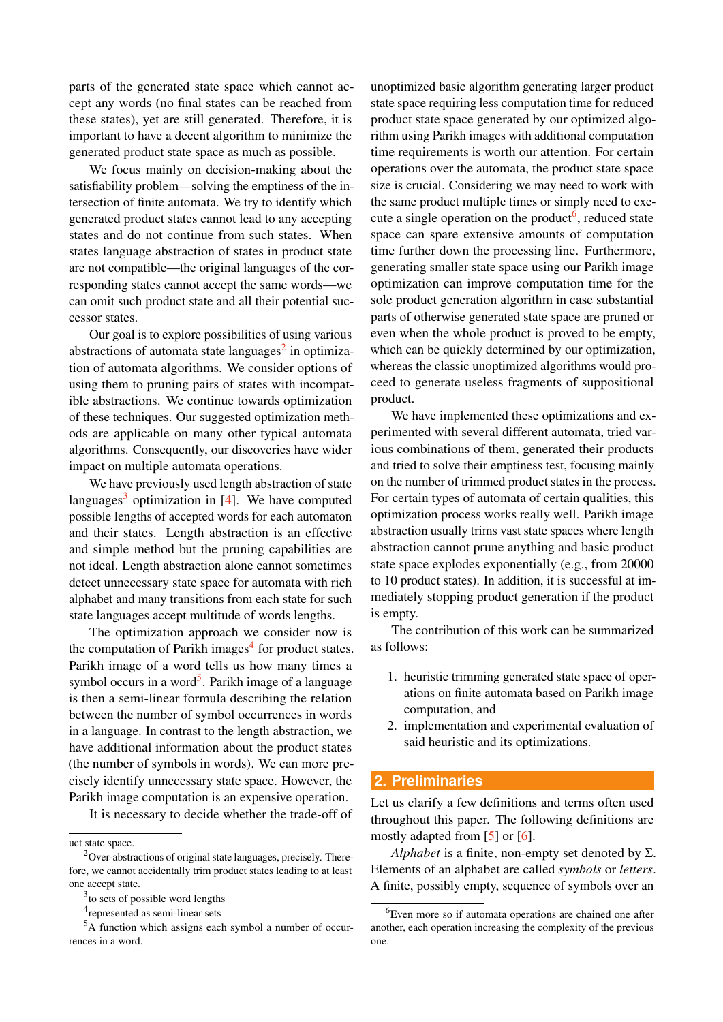parts of the generated state space which cannot accept any words (no final states can be reached from these states), yet are still generated. Therefore, it is important to have a decent algorithm to minimize the generated product state space as much as possible.

We focus mainly on decision-making about the satisfiability problem—solving the emptiness of the intersection of finite automata. We try to identify which generated product states cannot lead to any accepting states and do not continue from such states. When states language abstraction of states in product state are not compatible—the original languages of the corresponding states cannot accept the same words—we can omit such product state and all their potential successor states.

Our goal is to explore possibilities of using various abstractions of automata state languages<sup>[2](#page-1-0)</sup> in optimization of automata algorithms. We consider options of using them to pruning pairs of states with incompatible abstractions. We continue towards optimization of these techniques. Our suggested optimization methods are applicable on many other typical automata algorithms. Consequently, our discoveries have wider impact on multiple automata operations.

We have previously used length abstraction of state languages<sup>[3](#page-1-1)</sup> optimization in  $[4]$ . We have computed possible lengths of accepted words for each automaton and their states. Length abstraction is an effective and simple method but the pruning capabilities are not ideal. Length abstraction alone cannot sometimes detect unnecessary state space for automata with rich alphabet and many transitions from each state for such state languages accept multitude of words lengths.

The optimization approach we consider now is the computation of Parikh images<sup>[4](#page-1-2)</sup> for product states. Parikh image of a word tells us how many times a symbol occurs in a word<sup>[5](#page-1-3)</sup>. Parikh image of a language is then a semi-linear formula describing the relation between the number of symbol occurrences in words in a language. In contrast to the length abstraction, we have additional information about the product states (the number of symbols in words). We can more precisely identify unnecessary state space. However, the Parikh image computation is an expensive operation.

It is necessary to decide whether the trade-off of

unoptimized basic algorithm generating larger product state space requiring less computation time for reduced product state space generated by our optimized algorithm using Parikh images with additional computation time requirements is worth our attention. For certain operations over the automata, the product state space size is crucial. Considering we may need to work with the same product multiple times or simply need to exe-cute a single operation on the product<sup>[6](#page-1-4)</sup>, reduced state space can spare extensive amounts of computation time further down the processing line. Furthermore, generating smaller state space using our Parikh image optimization can improve computation time for the sole product generation algorithm in case substantial parts of otherwise generated state space are pruned or even when the whole product is proved to be empty, which can be quickly determined by our optimization, whereas the classic unoptimized algorithms would proceed to generate useless fragments of suppositional product.

We have implemented these optimizations and experimented with several different automata, tried various combinations of them, generated their products and tried to solve their emptiness test, focusing mainly on the number of trimmed product states in the process. For certain types of automata of certain qualities, this optimization process works really well. Parikh image abstraction usually trims vast state spaces where length abstraction cannot prune anything and basic product state space explodes exponentially (e.g., from 20000 to 10 product states). In addition, it is successful at immediately stopping product generation if the product is empty.

The contribution of this work can be summarized as follows:

- 1. heuristic trimming generated state space of operations on finite automata based on Parikh image computation, and
- 2. implementation and experimental evaluation of said heuristic and its optimizations.

## **2. Preliminaries**

Let us clarify a few definitions and terms often used throughout this paper. The following definitions are mostly adapted from [\[5\]](#page-10-2) or [\[6\]](#page-10-3).

*Alphabet* is a finite, non-empty set denoted by Σ. Elements of an alphabet are called *symbols* or *letters*. A finite, possibly empty, sequence of symbols over an

uct state space.

<span id="page-1-0"></span> $2$ Over-abstractions of original state languages, precisely. Therefore, we cannot accidentally trim product states leading to at least one accept state.

<span id="page-1-1"></span><sup>&</sup>lt;sup>3</sup> to sets of possible word lengths

<span id="page-1-3"></span><span id="page-1-2"></span><sup>4</sup> represented as semi-linear sets

<sup>5</sup>A function which assigns each symbol a number of occurrences in a word.

<span id="page-1-4"></span><sup>&</sup>lt;sup>6</sup>Even more so if automata operations are chained one after another, each operation increasing the complexity of the previous one.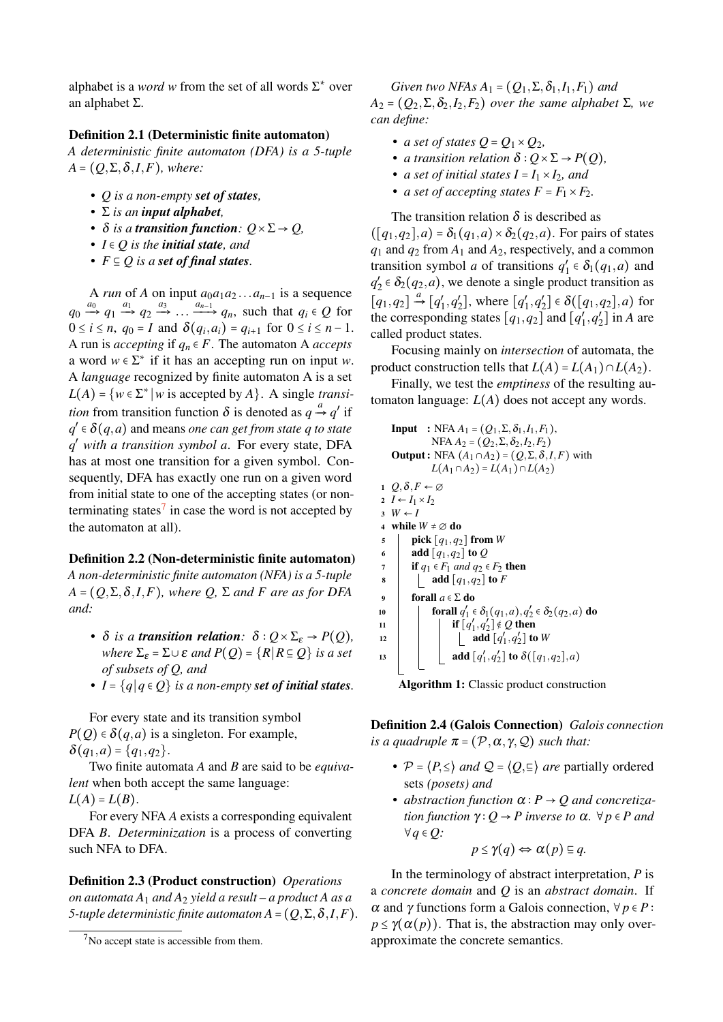alphabet is a *word w* from the set of all words  $\Sigma^*$  over an alphabet Σ.

# Definition 2.1 (Deterministic finite automaton)

*A deterministic finite automaton (DFA) is a 5-tuple*  $A = (Q, \Sigma, \delta, I, F)$ *, where:* 

- *Q is a non-empty set of states,*
- Σ *is an input alphabet,*
- $\delta$  *is a transition function:*  $Q \times \Sigma \rightarrow Q$ ,
- *I* ∈ *Q is the initial state, and*
- $F \subseteq O$  *is a set of final states.*

A *run* of *A* on input  $a_0a_1a_2...a_{n-1}$  is a sequence  $q_0 \stackrel{a_0}{\rightarrow} q_1 \stackrel{a_1}{\rightarrow} q_2 \stackrel{a_3}{\rightarrow} \dots \stackrel{a_{n-1}}{\rightarrow} q_n$ , such that  $q_i \in Q$  for  $0 \le i \le n$ ,  $q_0 = I$  and  $\delta(q_i, a_i) = q_{i+1}$  for  $0 \le i \le n-1$ . A run is *accepting* if *q<sup>n</sup>* ∈ *F*. The automaton A *accepts* a word  $w \in \Sigma^*$  if it has an accepting run on input *w*. A *language* recognized by finite automaton A is a set  $L(A) = \{ w \in \Sigma^* \mid w \text{ is accepted by } A \}.$  A single *transition* from transition function  $\delta$  is denoted as  $q \stackrel{a}{\rightarrow} q'$  if  $q' \in \delta(q, a)$  and means *one can get from state q to state q* ′ *with a transition symbol a*. For every state, DFA has at most one transition for a given symbol. Consequently, DFA has exactly one run on a given word from initial state to one of the accepting states (or nonterminating states $<sup>7</sup>$  $<sup>7</sup>$  $<sup>7</sup>$  in case the word is not accepted by</sup> the automaton at all).

## Definition 2.2 (Non-deterministic finite automaton)

*A non-deterministic finite automaton (NFA) is a 5-tuple*  $A = (O, \Sigma, \delta, I, F)$ *, where*  $O$ *,*  $\Sigma$  *and*  $F$  *are as for DFA and:*

- $\delta$  *is a transition relation:*  $\delta$  :  $Q \times \Sigma_{\epsilon} \rightarrow P(Q)$ *, where*  $\Sigma_{\varepsilon} = \Sigma \cup \varepsilon$  *and*  $P(Q) = \{R | R \subseteq Q\}$  *is a set of subsets of Q, and*
- $I = \{q | q \in Q\}$  *is a non-empty set of initial states.*

For every state and its transition symbol  $P(Q) \in \delta(q, a)$  is a singleton. For example,  $\delta(q_1, a) = \{q_1, q_2\}.$ 

Two finite automata *A* and *B* are said to be *equivalent* when both accept the same language:  $L(A) = L(B)$ .

For every NFA *A* exists a corresponding equivalent DFA *B*. *Determinization* is a process of converting such NFA to DFA.

Definition 2.3 (Product construction) *Operations on automata A*<sup>1</sup> *and A*<sup>2</sup> *yield a result – a product A as a 5-tuple deterministic finite automaton*  $A = (Q, \Sigma, \delta, I, F)$ .

*Given two NFAs*  $A_1 = (Q_1, \Sigma, \delta_1, I_1, F_1)$  *and*  $A_2 = (Q_2, \Sigma, \delta_2, I_2, F_2)$  *over the same alphabet*  $\Sigma$ *, we can define:*

- *a set of states*  $Q = Q_1 \times Q_2$ ,
- *a transition relation*  $\delta$  :  $Q \times \Sigma \rightarrow P(Q)$ *,*
- *a set of initial states*  $I = I_1 \times I_2$ *, and*
- *a set of accepting states*  $F = F_1 \times F_2$ .

The transition relation  $\delta$  is described as

 $([q_1,q_2],a) = \delta_1(q_1,a) \times \delta_2(q_2,a)$ . For pairs of states  $q_1$  and  $q_2$  from  $A_1$  and  $A_2$ , respectively, and a common transition symbol *a* of transitions  $q'_1 \in \delta_1(q_1, a)$  and  $q'_2 \in \delta_2(q_2, a)$ , we denote a single product transition as  $[q_1, q_2] \xrightarrow{a} [q'_1, q'_2],$  where  $[q'_1, q'_2] \in \delta([q_1, q_2], a)$  for the corresponding states  $[q_1, q_2]$  and  $[q'_1, q'_2]$  in *A* are called product states.

Focusing mainly on *intersection* of automata, the product construction tells that  $L(A) = L(A_1) \cap L(A_2)$ .

Finally, we test the *emptiness* of the resulting automaton language:  $L(A)$  does not accept any words.

|                         | <b>Input</b> : NFA $A_1 = (Q_1, \Sigma, \delta_1, I_1, F_1)$ ,                                                        |
|-------------------------|-----------------------------------------------------------------------------------------------------------------------|
|                         | NFA $A_2 = (Q_2, \Sigma, \delta_2, I_2, F_2)$                                                                         |
|                         | <b>Output:</b> NFA $(A_1 \cap A_2) = (Q, \Sigma, \delta, I, F)$ with                                                  |
|                         | $L(A_1 \cap A_2) = L(A_1) \cap L(A_2)$                                                                                |
|                         | $1 \quad Q, \delta, F \leftarrow \varnothing$                                                                         |
|                         | $1 \leftarrow I_1 \times I_2$                                                                                         |
|                         | $\mathbf{W} \leftarrow I$                                                                                             |
| $\overline{\mathbf{4}}$ | while $W \neq \emptyset$ do                                                                                           |
| 5                       | pick $\left[q_1, q_2\right]$ from W                                                                                   |
| 6                       | add $[q_1,q_2]$ to Q                                                                                                  |
| 7                       | if $q_1 \in F_1$ and $q_2 \in F_2$ then                                                                               |
| 8                       | add $[q_1,q_2]$ to F                                                                                                  |
| $\boldsymbol{q}$        | forall $a \in \Sigma$ do                                                                                              |
| 10                      | forall $q'_1 \in \delta_1(q_1, a), q'_2 \in \delta_2(q_2, a)$ do                                                      |
| 11                      |                                                                                                                       |
| 12                      | if $[q'_1, q'_2] \notin Q$ then<br>$\begin{bmatrix} \textbf{a} \textbf{d} \textbf{d} & q'_1, q'_2 \end{bmatrix}$ to W |
| 13                      | <b>add</b> $[q'_1, q'_2]$ to $\delta([q_1, q_2], a)$                                                                  |
|                         |                                                                                                                       |

Algorithm 1: Classic product construction

Definition 2.4 (Galois Connection) *Galois connection is a quadruple*  $\pi = (\mathcal{P}, \alpha, \gamma, \mathcal{Q})$  *such that:* 

- $P = \langle P, \le \rangle$  *and*  $Q = \langle Q, \sqsubseteq \rangle$  *are* partially ordered sets *(posets) and*
- *abstraction function*  $\alpha$ :  $P \rightarrow Q$  *and concretization function*  $\gamma: Q \to P$  *inverse to*  $\alpha$ *.*  $\forall p \in P$  *and* ∀*q* ∈ *Q:*

$$
p \leq \gamma(q) \Leftrightarrow \alpha(p) \sqsubseteq q.
$$

In the terminology of abstract interpretation, *P* is a *concrete domain* and *Q* is an *abstract domain*. If α and γ functions form a Galois connection, ∀*p* ∈ *P* ∶  $p \leq \gamma(\alpha(p))$ . That is, the abstraction may only overapproximate the concrete semantics.

<span id="page-2-0"></span> $<sup>7</sup>No$  accept state is accessible from them.</sup>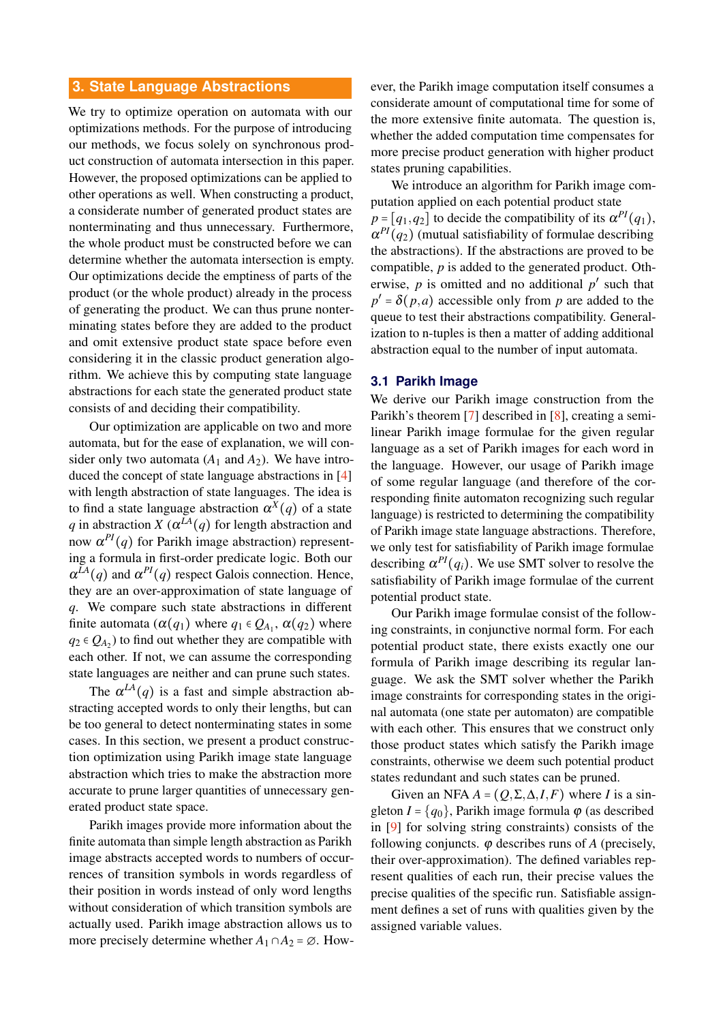# **3. State Language Abstractions**

We try to optimize operation on automata with our optimizations methods. For the purpose of introducing our methods, we focus solely on synchronous product construction of automata intersection in this paper. However, the proposed optimizations can be applied to other operations as well. When constructing a product, a considerate number of generated product states are nonterminating and thus unnecessary. Furthermore, the whole product must be constructed before we can determine whether the automata intersection is empty. Our optimizations decide the emptiness of parts of the product (or the whole product) already in the process of generating the product. We can thus prune nonterminating states before they are added to the product and omit extensive product state space before even considering it in the classic product generation algorithm. We achieve this by computing state language abstractions for each state the generated product state consists of and deciding their compatibility.

Our optimization are applicable on two and more automata, but for the ease of explanation, we will consider only two automata  $(A_1 \text{ and } A_2)$ . We have introduced the concept of state language abstractions in [\[4\]](#page-10-1) with length abstraction of state languages. The idea is to find a state language abstraction  $\alpha^X(q)$  of a state *q* in abstraction *X* ( $\alpha^{LA}(q)$  for length abstraction and now  $\alpha^{PI}(q)$  for Parikh image abstraction) representing a formula in first-order predicate logic. Both our  $\alpha^{LA}(q)$  and  $\alpha^{PI}(q)$  respect Galois connection. Hence, they are an over-approximation of state language of *q*. We compare such state abstractions in different finite automata  $(\alpha(q_1)$  where  $q_1 \in Q_{A_1}, \alpha(q_2)$  where  $q_2 \in Q_{A_2}$ ) to find out whether they are compatible with each other. If not, we can assume the corresponding state languages are neither and can prune such states.

The  $\alpha^{LA}(q)$  is a fast and simple abstraction abstracting accepted words to only their lengths, but can be too general to detect nonterminating states in some cases. In this section, we present a product construction optimization using Parikh image state language abstraction which tries to make the abstraction more accurate to prune larger quantities of unnecessary generated product state space.

Parikh images provide more information about the finite automata than simple length abstraction as Parikh image abstracts accepted words to numbers of occurrences of transition symbols in words regardless of their position in words instead of only word lengths without consideration of which transition symbols are actually used. Parikh image abstraction allows us to more precisely determine whether  $A_1 \cap A_2 = \emptyset$ . However, the Parikh image computation itself consumes a considerate amount of computational time for some of the more extensive finite automata. The question is, whether the added computation time compensates for more precise product generation with higher product states pruning capabilities.

We introduce an algorithm for Parikh image computation applied on each potential product state  $p = [q_1, q_2]$  to decide the compatibility of its  $\alpha^{PI}(q_1)$ ,  $\alpha^{PI}(q_2)$  (mutual satisfiability of formulae describing the abstractions). If the abstractions are proved to be compatible, *p* is added to the generated product. Otherwise,  $p$  is omitted and no additional  $p'$  such that  $p' = \delta(p, a)$  accessible only from *p* are added to the queue to test their abstractions compatibility. Generalization to n-tuples is then a matter of adding additional abstraction equal to the number of input automata.

#### <span id="page-3-1"></span>**3.1 Parikh Image**

We derive our Parikh image construction from the Parikh's theorem [\[7\]](#page-10-4) described in [\[8\]](#page-10-5), creating a semilinear Parikh image formulae for the given regular language as a set of Parikh images for each word in the language. However, our usage of Parikh image of some regular language (and therefore of the corresponding finite automaton recognizing such regular language) is restricted to determining the compatibility of Parikh image state language abstractions. Therefore, we only test for satisfiability of Parikh image formulae describing  $\alpha^{PI}(q_i)$ . We use SMT solver to resolve the satisfiability of Parikh image formulae of the current potential product state.

Our Parikh image formulae consist of the following constraints, in conjunctive normal form. For each potential product state, there exists exactly one our formula of Parikh image describing its regular language. We ask the SMT solver whether the Parikh image constraints for corresponding states in the original automata (one state per automaton) are compatible with each other. This ensures that we construct only those product states which satisfy the Parikh image constraints, otherwise we deem such potential product states redundant and such states can be pruned.

<span id="page-3-0"></span>Given an NFA  $A = (Q, \Sigma, \Delta, I, F)$  where *I* is a singleton  $I = \{q_0\}$ , Parikh image formula  $\varphi$  (as described in [\[9\]](#page-10-6) for solving string constraints) consists of the following conjuncts.  $\varphi$  describes runs of *A* (precisely, their over-approximation). The defined variables represent qualities of each run, their precise values the precise qualities of the specific run. Satisfiable assignment defines a set of runs with qualities given by the assigned variable values.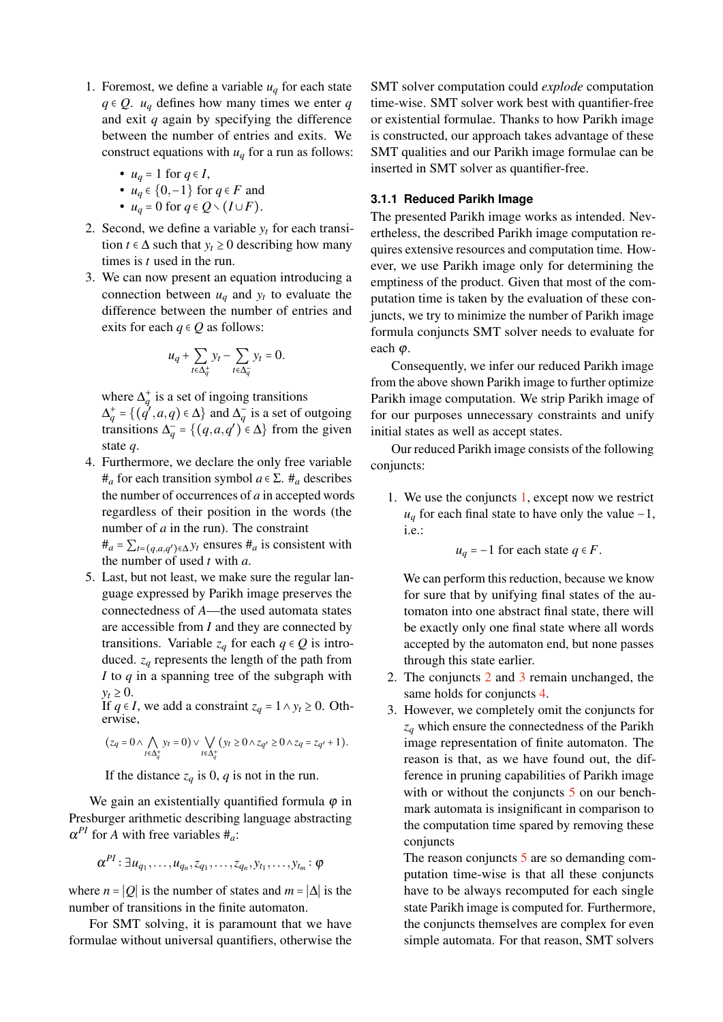1. Foremost, we define a variable  $u_q$  for each state  $q \in Q$ . *u<sub>q</sub>* defines how many times we enter *q* and exit *q* again by specifying the difference between the number of entries and exits. We construct equations with  $u_q$  for a run as follows:

• 
$$
u_q = 1
$$
 for  $q \in I$ ,

• 
$$
u_q \in \{0, -1\}
$$
 for  $q \in F$  and

- $u_q = 0$  for  $q \in Q \setminus (I \cup F)$ .
- <span id="page-4-0"></span>2. Second, we define a variable  $y_t$  for each transition *t* ∈  $\triangle$  such that *y*<sub>*t*</sub> ≥ 0 describing how many times is *t* used in the run.
- <span id="page-4-1"></span>3. We can now present an equation introducing a connection between  $u_q$  and  $y_t$  to evaluate the difference between the number of entries and exits for each  $q \in Q$  as follows:

$$
u_q + \sum_{t \in \Delta_q^+} y_t - \sum_{t \in \Delta_q^-} y_t = 0.
$$

where  $\Delta_q^+$  is a set of ingoing transitions

 $\Delta_q^+ = \{(\hat{q'}, a, q) \in \Delta\}$  and  $\Delta_q^-$  is a set of outgoing transitions  $\Delta_q^- = \{(q, a, q') \in \Delta\}$  from the given state *q*.

<span id="page-4-2"></span>4. Furthermore, we declare the only free variable #*<sup>a</sup>* for each transition symbol *a* ∈ Σ. #*<sup>a</sup>* describes the number of occurrences of *a* in accepted words regardless of their position in the words (the number of *a* in the run). The constraint

 $#_a = \sum_{t=(q,a,q') \in \Delta} y_t$  ensures  $#_a$  is consistent with the number of used *t* with *a*.

<span id="page-4-3"></span>5. Last, but not least, we make sure the regular language expressed by Parikh image preserves the connectedness of *A*—the used automata states are accessible from *I* and they are connected by transitions. Variable  $z_q$  for each  $q \in Q$  is introduced. *z<sup>q</sup>* represents the length of the path from *I* to *q* in a spanning tree of the subgraph with  $y_t \geq 0$ .

If *q* ∈ *I*, we add a constraint  $z_q = 1 \land y_t \ge 0$ . Otherwise,

$$
\big(z_q=0\wedge \bigwedge_{t\in \Delta_q^+} y_t=0\big) \vee \bigvee_{t\in \Delta_q^+} \big(y_t\geq 0 \wedge z_{q'}\geq 0 \wedge z_q=z_{q'}+1\big).
$$

If the distance  $z_q$  is 0,  $q$  is not in the run.

We gain an existentially quantified formula  $\varphi$  in Presburger arithmetic describing language abstracting  $\alpha^{PI}$  for *A* with free variables  $\#_a$ :

$$
\alpha^{PI}:\exists u_{q_1},\ldots,u_{q_n},z_{q_1},\ldots,z_{q_n},y_{t_1},\ldots,y_{t_m}:\varphi
$$

where  $n = |Q|$  is the number of states and  $m = |\Delta|$  is the number of transitions in the finite automaton.

For SMT solving, it is paramount that we have formulae without universal quantifiers, otherwise the

SMT solver computation could *explode* computation time-wise. SMT solver work best with quantifier-free or existential formulae. Thanks to how Parikh image is constructed, our approach takes advantage of these SMT qualities and our Parikh image formulae can be inserted in SMT solver as quantifier-free.

# <span id="page-4-4"></span>**3.1.1 Reduced Parikh Image**

The presented Parikh image works as intended. Nevertheless, the described Parikh image computation requires extensive resources and computation time. However, we use Parikh image only for determining the emptiness of the product. Given that most of the computation time is taken by the evaluation of these conjuncts, we try to minimize the number of Parikh image formula conjuncts SMT solver needs to evaluate for each ϕ.

Consequently, we infer our reduced Parikh image from the above shown Parikh image to further optimize Parikh image computation. We strip Parikh image of for our purposes unnecessary constraints and unify initial states as well as accept states.

Our reduced Parikh image consists of the following conjuncts:

<span id="page-4-5"></span>1. We use the conjuncts [1,](#page-3-0) except now we restrict  $u_q$  for each final state to have only the value  $-1$ ,  $i.e.$ 

$$
u_q = -1
$$
 for each state  $q \in F$ .

We can perform this reduction, because we know for sure that by unifying final states of the automaton into one abstract final state, there will be exactly only one final state where all words accepted by the automaton end, but none passes through this state earlier.

- 2. The conjuncts [2](#page-4-0) and [3](#page-4-1) remain unchanged, the same holds for conjuncts [4.](#page-4-2)
- <span id="page-4-6"></span>3. However, we completely omit the conjuncts for *z<sup>q</sup>* which ensure the connectedness of the Parikh image representation of finite automaton. The reason is that, as we have found out, the difference in pruning capabilities of Parikh image with or without the conjuncts [5](#page-4-3) on our benchmark automata is insignificant in comparison to the computation time spared by removing these conjuncts

The reason conjuncts [5](#page-4-3) are so demanding computation time-wise is that all these conjuncts have to be always recomputed for each single state Parikh image is computed for. Furthermore, the conjuncts themselves are complex for even simple automata. For that reason, SMT solvers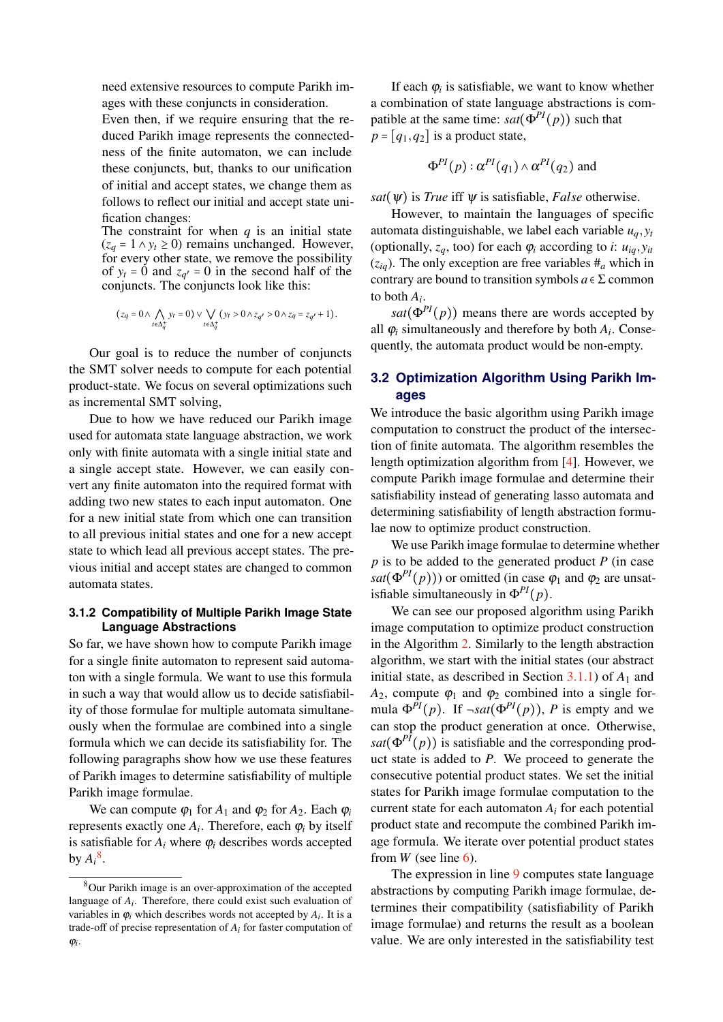need extensive resources to compute Parikh images with these conjuncts in consideration.

Even then, if we require ensuring that the reduced Parikh image represents the connectedness of the finite automaton, we can include these conjuncts, but, thanks to our unification of initial and accept states, we change them as follows to reflect our initial and accept state unification changes:

The constraint for when  $q$  is an initial state (*z<sup>q</sup>* = 1∧*y<sup>t</sup>* ≥ 0) remains unchanged. However, for every other state, we remove the possibility of  $y_t = 0$  and  $z_{q'} = 0$  in the second half of the conjuncts. The conjuncts look like this:

$$
\big(z_q=0\wedge \bigwedge_{t\in \Delta_q^+} y_t=0\big) \vee \bigvee_{t\in \Delta_q^+} \big(y_t>0 \wedge z_{q'}>0 \wedge z_q=z_{q'}+1\big).
$$

Our goal is to reduce the number of conjuncts the SMT solver needs to compute for each potential product-state. We focus on several optimizations such as incremental SMT solving,

Due to how we have reduced our Parikh image used for automata state language abstraction, we work only with finite automata with a single initial state and a single accept state. However, we can easily convert any finite automaton into the required format with adding two new states to each input automaton. One for a new initial state from which one can transition to all previous initial states and one for a new accept state to which lead all previous accept states. The previous initial and accept states are changed to common automata states.

#### **3.1.2 Compatibility of Multiple Parikh Image State Language Abstractions**

So far, we have shown how to compute Parikh image for a single finite automaton to represent said automaton with a single formula. We want to use this formula in such a way that would allow us to decide satisfiability of those formulae for multiple automata simultaneously when the formulae are combined into a single formula which we can decide its satisfiability for. The following paragraphs show how we use these features of Parikh images to determine satisfiability of multiple Parikh image formulae.

We can compute  $\varphi_1$  for  $A_1$  and  $\varphi_2$  for  $A_2$ . Each  $\varphi_i$ represents exactly one  $A_i$ . Therefore, each  $\varphi_i$  by itself is satisfiable for  $A_i$  where  $\varphi_i$  describes words accepted by  $A_i^8$  $A_i^8$ .

If each  $\varphi$ <sub>*i*</sub> is satisfiable, we want to know whether a combination of state language abstractions is compatible at the same time:  $sat(\Phi^{PI}(p))$  such that  $p = [q_1, q_2]$  is a product state,

$$
\Phi^{PI}(p) : \alpha^{PI}(q_1) \wedge \alpha^{PI}(q_2)
$$
 and

 $sat(\psi)$  is *True* iff  $\psi$  is satisfiable, *False* otherwise.

However, to maintain the languages of specific automata distinguishable, we label each variable *uq*,*y<sup>t</sup>* (optionally,  $z_q$ , too) for each  $\varphi_i$  according to *i*:  $u_{iq}$ ,  $y_{it}$  $(z_{ia})$ . The only exception are free variables  $\#$ <sub>a</sub> which in contrary are bound to transition symbols  $a \in \Sigma$  common to both  $A_i$ .

 $sat(\Phi^{PI}(p))$  means there are words accepted by all  $\varphi_i$  simultaneously and therefore by both  $A_i$ . Consequently, the automata product would be non-empty.

# **3.2 Optimization Algorithm Using Parikh Images**

We introduce the basic algorithm using Parikh image computation to construct the product of the intersection of finite automata. The algorithm resembles the length optimization algorithm from [\[4\]](#page-10-1). However, we compute Parikh image formulae and determine their satisfiability instead of generating lasso automata and determining satisfiability of length abstraction formulae now to optimize product construction.

We use Parikh image formulae to determine whether *p* is to be added to the generated product *P* (in case  $sat(\Phi^{PI}(p))$  or omitted (in case  $\varphi_1$  and  $\varphi_2$  are unsatisfiable simultaneously in  $\Phi^{PI}(p)$ .

We can see our proposed algorithm using Parikh image computation to optimize product construction in the Algorithm [2.](#page-6-0) Similarly to the length abstraction algorithm, we start with the initial states (our abstract initial state, as described in Section  $3.1.1$ ) of  $A_1$  and  $A_2$ , compute  $\varphi_1$  and  $\varphi_2$  combined into a single formula  $\Phi^{PI}(p)$ . If  $\neg sat(\Phi^{PI}(p))$ , *P* is empty and we can stop the product generation at once. Otherwise,  $sat(\Phi^{PI}(p))$  is satisfiable and the corresponding product state is added to *P*. We proceed to generate the consecutive potential product states. We set the initial states for Parikh image formulae computation to the current state for each automaton  $A_i$  for each potential product state and recompute the combined Parikh image formula. We iterate over potential product states from  $W$  (see line [6\)](#page-6-1).

The expression in line [9](#page-6-2) computes state language abstractions by computing Parikh image formulae, determines their compatibility (satisfiability of Parikh image formulae) and returns the result as a boolean value. We are only interested in the satisfiability test

<span id="page-5-0"></span><sup>8</sup>Our Parikh image is an over-approximation of the accepted language of *A<sup>i</sup>* . Therefore, there could exist such evaluation of variables in  $\varphi_i$  which describes words not accepted by  $A_i$ . It is a trade-off of precise representation of  $A_i$  for faster computation of  $\varphi_i$ .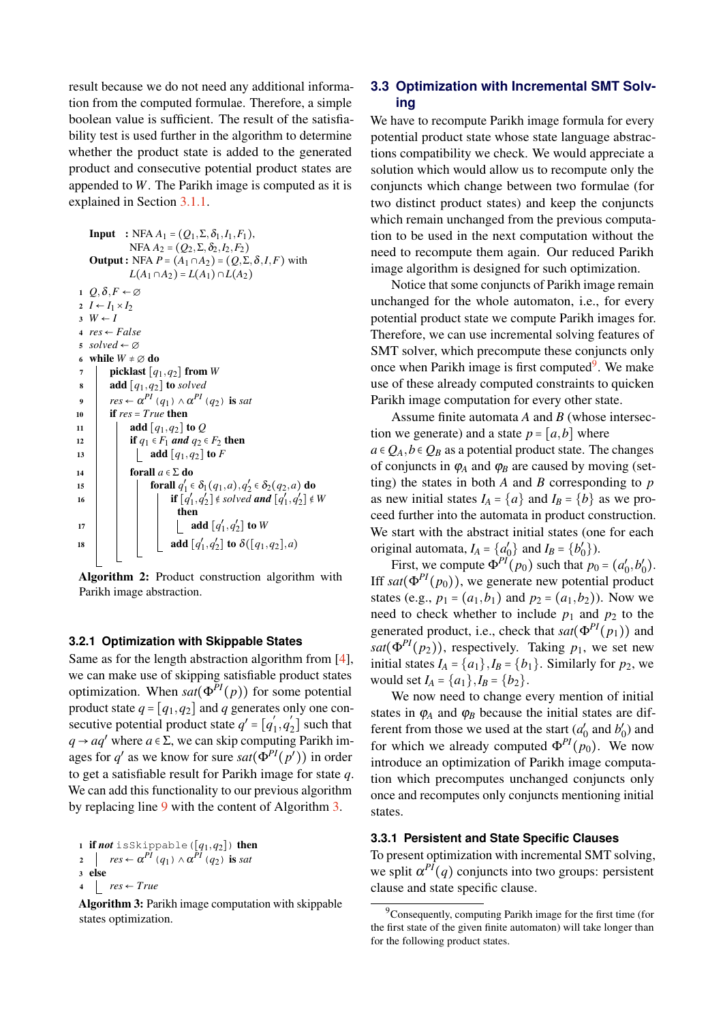result because we do not need any additional information from the computed formulae. Therefore, a simple boolean value is sufficient. The result of the satisfiability test is used further in the algorithm to determine whether the product state is added to the generated product and consecutive potential product states are appended to *W*. The Parikh image is computed as it is explained in Section [3.1.1.](#page-4-4)

```
Input : NFA A_1 = (Q_1, \Sigma, \delta_1, I_1, F_1),
              NFA A_2 = (Q_2, \Sigma, \delta_2, I_2, F_2)Output : NFA P = (A_1 \cap A_2) = (Q, \Sigma, \delta, I, F) with
              L(A<sub>1</sub> ∩A<sub>2</sub>) = L(A<sub>1</sub>) ∩L(A<sub>2</sub>)
1 Q, \delta, F \leftarrow \emptyset2 I \leftarrow I_1 \times I_23 W \leftarrow I4 res ← False
5 solved ← ∅
6 while W \neq \emptyset do
\tau picklast [q_1, q_2] from W
8 add [q_1, q_2] to solved
 9 res \leftarrow \alpha^{PI}(q_1) \wedge \alpha^{PI}(q_2) is sat
10 if res = True then
11 add [q_1, q_2] to Q
12 if q_1 \in F_1 and q_2 \in F_2 then
13 add [q_1, q_2] to F
14 forall a \in \Sigma do
15 c \int for all q'_1 \in \delta_1(q_1, a), q'_2 \in \delta_2(q_2, a) do
16 if [q'_1, q'_2] \notin solved and [q'_1, q'_2] \notin Wthen
17 add [q
′
1
,q
′
2
] to W
18 add [q'_1, q'_2] to \delta([q_1, q_2], a)
```
Algorithm 2: Product construction algorithm with Parikh image abstraction.

#### **3.2.1 Optimization with Skippable States**

Same as for the length abstraction algorithm from [\[4\]](#page-10-1), we can make use of skipping satisfiable product states optimization. When *sat*(Φ *PI*(*p*)) for some potential product state  $q = [q_1, q_2]$  and  $q$  generates only one consecutive potential product state  $q' = [q']$  $\frac{1}{1}, \frac{1}{q}$  $\begin{bmatrix} 2 \end{bmatrix}$  such that  $q \rightarrow aq'$  where  $a \in \Sigma$ , we can skip computing Parikh images for  $q'$  as we know for sure  $sat(\Phi^{PI}(p'))$  in order to get a satisfiable result for Parikh image for state *q*. We can add this functionality to our previous algorithm by replacing line [9](#page-6-2) with the content of Algorithm [3.](#page-6-3)

<span id="page-6-3"></span>1 if not isSkippable (
$$
[q_1, q_2]
$$
) then  
\n2  $res \leftarrow \alpha^{PI}(q_1) \wedge \alpha^{PI}(q_2)$  is *sat*  
\n3 else  
\n4  $res \leftarrow True$ 

Algorithm 3: Parikh image computation with skippable states optimization.

# **3.3 Optimization with Incremental SMT Solving**

We have to recompute Parikh image formula for every potential product state whose state language abstractions compatibility we check. We would appreciate a solution which would allow us to recompute only the conjuncts which change between two formulae (for two distinct product states) and keep the conjuncts which remain unchanged from the previous computation to be used in the next computation without the need to recompute them again. Our reduced Parikh image algorithm is designed for such optimization.

Notice that some conjuncts of Parikh image remain unchanged for the whole automaton, i.e., for every potential product state we compute Parikh images for. Therefore, we can use incremental solving features of SMT solver, which precompute these conjuncts only once when Parikh image is first computed<sup>[9](#page-6-4)</sup>. We make use of these already computed constraints to quicken Parikh image computation for every other state.

Assume finite automata *A* and *B* (whose intersection we generate) and a state  $p = [a, b]$  where  $a \in Q_A$ ,  $b \in Q_B$  as a potential product state. The changes of conjuncts in  $\varphi_A$  and  $\varphi_B$  are caused by moving (setting) the states in both *A* and *B* corresponding to *p* as new initial states  $I_A = \{a\}$  and  $I_B = \{b\}$  as we proceed further into the automata in product construction. We start with the abstract initial states (one for each original automata,  $I_A = \{a'_0\}$  and  $I_B = \{b'_0\}$ .

First, we compute  $\Phi^{PI}(p_0)$  such that  $p_0 = (a'_0, b'_0)$ . Iff  $sat(\Phi^{PI}(p_0))$ , we generate new potential product states (e.g.,  $p_1 = (a_1, b_1)$  and  $p_2 = (a_1, b_2)$ ). Now we need to check whether to include  $p_1$  and  $p_2$  to the generated product, i.e., check that  $sat(\Phi^{PI}(p_1))$  and  $sat(\Phi^{PI}(p_2))$ , respectively. Taking  $p_1$ , we set new initial states  $I_A = \{a_1\}$ ,  $I_B = \{b_1\}$ . Similarly for  $p_2$ , we would set  $I_A = \{a_1\}, I_B = \{b_2\}.$ 

We now need to change every mention of initial states in  $\varphi_A$  and  $\varphi_B$  because the initial states are different from those we used at the start  $(a'_0$  and  $b'_0$ ) and for which we already computed  $\Phi^{PI}(p_0)$ . We now introduce an optimization of Parikh image computation which precomputes unchanged conjuncts only once and recomputes only conjuncts mentioning initial states.

#### **3.3.1 Persistent and State Specific Clauses**

To present optimization with incremental SMT solving, we split  $\alpha^{PI}(q)$  conjuncts into two groups: persistent clause and state specific clause.

<span id="page-6-4"></span><sup>9</sup>Consequently, computing Parikh image for the first time (for the first state of the given finite automaton) will take longer than for the following product states.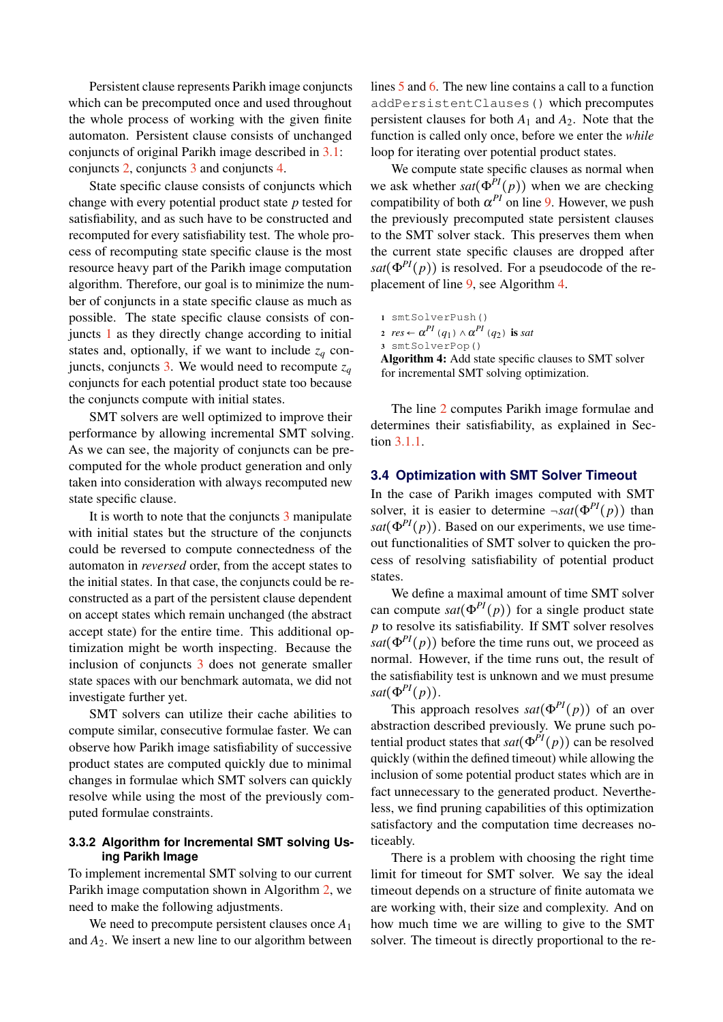Persistent clause represents Parikh image conjuncts which can be precomputed once and used throughout the whole process of working with the given finite automaton. Persistent clause consists of unchanged conjuncts of original Parikh image described in [3.1:](#page-3-1) conjuncts [2,](#page-4-0) conjuncts [3](#page-4-1) and conjuncts [4.](#page-4-2)

State specific clause consists of conjuncts which change with every potential product state *p* tested for satisfiability, and as such have to be constructed and recomputed for every satisfiability test. The whole process of recomputing state specific clause is the most resource heavy part of the Parikh image computation algorithm. Therefore, our goal is to minimize the number of conjuncts in a state specific clause as much as possible. The state specific clause consists of conjuncts [1](#page-4-5) as they directly change according to initial states and, optionally, if we want to include  $z_q$  con-juncts, conjuncts [3.](#page-4-6) We would need to recompute  $z_a$ conjuncts for each potential product state too because the conjuncts compute with initial states.

SMT solvers are well optimized to improve their performance by allowing incremental SMT solving. As we can see, the majority of conjuncts can be precomputed for the whole product generation and only taken into consideration with always recomputed new state specific clause.

It is worth to note that the conjuncts [3](#page-4-6) manipulate with initial states but the structure of the conjuncts could be reversed to compute connectedness of the automaton in *reversed* order, from the accept states to the initial states. In that case, the conjuncts could be reconstructed as a part of the persistent clause dependent on accept states which remain unchanged (the abstract accept state) for the entire time. This additional optimization might be worth inspecting. Because the inclusion of conjuncts [3](#page-4-6) does not generate smaller state spaces with our benchmark automata, we did not investigate further yet.

SMT solvers can utilize their cache abilities to compute similar, consecutive formulae faster. We can observe how Parikh image satisfiability of successive product states are computed quickly due to minimal changes in formulae which SMT solvers can quickly resolve while using the most of the previously computed formulae constraints.

## **3.3.2 Algorithm for Incremental SMT solving Using Parikh Image**

To implement incremental SMT solving to our current Parikh image computation shown in Algorithm [2,](#page-6-0) we need to make the following adjustments.

We need to precompute persistent clauses once *A*<sup>1</sup> and *A*2. We insert a new line to our algorithm between lines [5](#page-6-5) and [6.](#page-6-1) The new line contains a call to a function addPersistentClauses() which precomputes persistent clauses for both *A*<sup>1</sup> and *A*2. Note that the function is called only once, before we enter the *while* loop for iterating over potential product states.

We compute state specific clauses as normal when we ask whether  $sat(\Phi^{PI}(p))$  when we are checking compatibility of both  $\alpha^{PI}$  on line [9.](#page-6-2) However, we push the previously precomputed state persistent clauses to the SMT solver stack. This preserves them when the current state specific clauses are dropped after  $sat(\Phi^{PI}(p))$  is resolved. For a pseudocode of the replacement of line [9,](#page-6-2) see Algorithm [4.](#page-7-0)

<span id="page-7-1"></span><span id="page-7-0"></span><sup>1</sup> smtSolverPush() 2  $res \leftarrow \alpha^{PI}(q_1) \wedge \alpha^{PI}(q_2)$  is *sat* <sup>3</sup> smtSolverPop()

Algorithm 4: Add state specific clauses to SMT solver for incremental SMT solving optimization.

The line [2](#page-7-1) computes Parikh image formulae and determines their satisfiability, as explained in Section [3.1.1.](#page-4-4)

#### **3.4 Optimization with SMT Solver Timeout**

In the case of Parikh images computed with SMT solver, it is easier to determine  $\neg sat(\Phi^{PI}(p))$  than  $sat(\Phi^{PI}(p))$ . Based on our experiments, we use timeout functionalities of SMT solver to quicken the process of resolving satisfiability of potential product states.

We define a maximal amount of time SMT solver can compute  $sat(\Phi^{PI}(p))$  for a single product state *p* to resolve its satisfiability. If SMT solver resolves  $sat(\Phi^{PI}(p))$  before the time runs out, we proceed as normal. However, if the time runs out, the result of the satisfiability test is unknown and we must presume  $sat(\Phi^{PI}(p)).$ 

This approach resolves  $sat(\Phi^{PI}(p))$  of an over abstraction described previously. We prune such potential product states that  $sat(\Phi^{PI}(p))$  can be resolved quickly (within the defined timeout) while allowing the inclusion of some potential product states which are in fact unnecessary to the generated product. Nevertheless, we find pruning capabilities of this optimization satisfactory and the computation time decreases noticeably.

There is a problem with choosing the right time limit for timeout for SMT solver. We say the ideal timeout depends on a structure of finite automata we are working with, their size and complexity. And on how much time we are willing to give to the SMT solver. The timeout is directly proportional to the re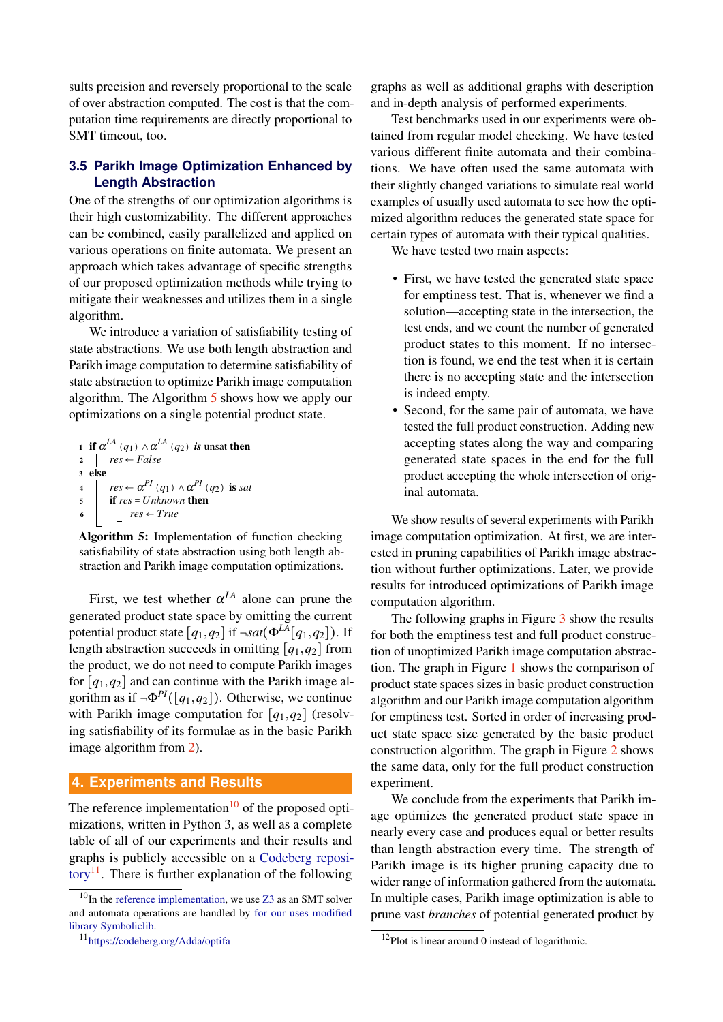sults precision and reversely proportional to the scale of over abstraction computed. The cost is that the computation time requirements are directly proportional to SMT timeout, too.

# **3.5 Parikh Image Optimization Enhanced by Length Abstraction**

One of the strengths of our optimization algorithms is their high customizability. The different approaches can be combined, easily parallelized and applied on various operations on finite automata. We present an approach which takes advantage of specific strengths of our proposed optimization methods while trying to mitigate their weaknesses and utilizes them in a single algorithm.

We introduce a variation of satisfiability testing of state abstractions. We use both length abstraction and Parikh image computation to determine satisfiability of state abstraction to optimize Parikh image computation algorithm. The Algorithm [5](#page-8-0) shows how we apply our optimizations on a single potential product state.

<span id="page-8-0"></span>1 if 
$$
\alpha^{LA}(q_1) \wedge \alpha^{LA}(q_2)
$$
 is unsat then  
\n2  $res \leftarrow False$   
\n3 else  
\n4  $res \leftarrow \alpha^{PI}(q_1) \wedge \alpha^{PI}(q_2)$  is *sat*  
\n5   
\n6   
\n1  $res \leftarrow True$   
\n8   
\n1  $res \leftarrow True$ 

Algorithm 5: Implementation of function checking satisfiability of state abstraction using both length abstraction and Parikh image computation optimizations.

First, we test whether  $\alpha^{LA}$  alone can prune the generated product state space by omitting the current potential product state  $[q_1, q_2]$  if  $\neg sat(\Phi^{LA}[q_1, q_2])$ . If length abstraction succeeds in omitting  $[q_1, q_2]$  from the product, we do not need to compute Parikh images for  $[q_1, q_2]$  and can continue with the Parikh image algorithm as if  $\neg \Phi^{PI}([q_1, q_2])$ . Otherwise, we continue with Parikh image computation for  $[q_1, q_2]$  (resolving satisfiability of its formulae as in the basic Parikh image algorithm from [2\)](#page-6-0).

# **4. Experiments and Results**

The reference implementation $10$  of the proposed optimizations, written in Python 3, as well as a complete table of all of our experiments and their results and graphs is publicly accessible on a [Codeberg reposi](https://codeberg.org/Adda/optifa)[tory](https://codeberg.org/Adda/optifa)<sup>[11](#page-8-2)</sup>. There is further explanation of the following graphs as well as additional graphs with description and in-depth analysis of performed experiments.

Test benchmarks used in our experiments were obtained from regular model checking. We have tested various different finite automata and their combinations. We have often used the same automata with their slightly changed variations to simulate real world examples of usually used automata to see how the optimized algorithm reduces the generated state space for certain types of automata with their typical qualities.

We have tested two main aspects:

- First, we have tested the generated state space for emptiness test. That is, whenever we find a solution—accepting state in the intersection, the test ends, and we count the number of generated product states to this moment. If no intersection is found, we end the test when it is certain there is no accepting state and the intersection is indeed empty.
- Second, for the same pair of automata, we have tested the full product construction. Adding new accepting states along the way and comparing generated state spaces in the end for the full product accepting the whole intersection of original automata.

We show results of several experiments with Parikh image computation optimization. At first, we are interested in pruning capabilities of Parikh image abstraction without further optimizations. Later, we provide results for introduced optimizations of Parikh image computation algorithm.

The following graphs in Figure [3](#page-9-2) show the results for both the emptiness test and full product construction of unoptimized Parikh image computation abstraction. The graph in Figure [1](#page-9-2) shows the comparison of product state spaces sizes in basic product construction algorithm and our Parikh image computation algorithm for emptiness test. Sorted in order of increasing product state space size generated by the basic product construction algorithm. The graph in Figure [2](#page-9-2) shows the same data, only for the full product construction experiment.

We conclude from the experiments that Parikh image optimizes the generated product state space in nearly every case and produces equal or better results than length abstraction every time. The strength of Parikh image is its higher pruning capacity due to wider range of information gathered from the automata. In multiple cases, Parikh image optimization is able to prune vast *branches* of potential generated product by

<span id="page-8-1"></span> $10$ In the [reference implementation,](https://codeberg.org/Adda/optifa) we use [Z3](https://github.com/Z3Prover/z3) as an SMT solver and automata operations are handled by [for our uses modified](https://codeberg.org/Adda/symboliclib) [library Symboliclib.](https://codeberg.org/Adda/symboliclib)

<span id="page-8-2"></span><sup>11</sup><https://codeberg.org/Adda/optifa>

<span id="page-8-3"></span> $12$ Plot is linear around 0 instead of logarithmic.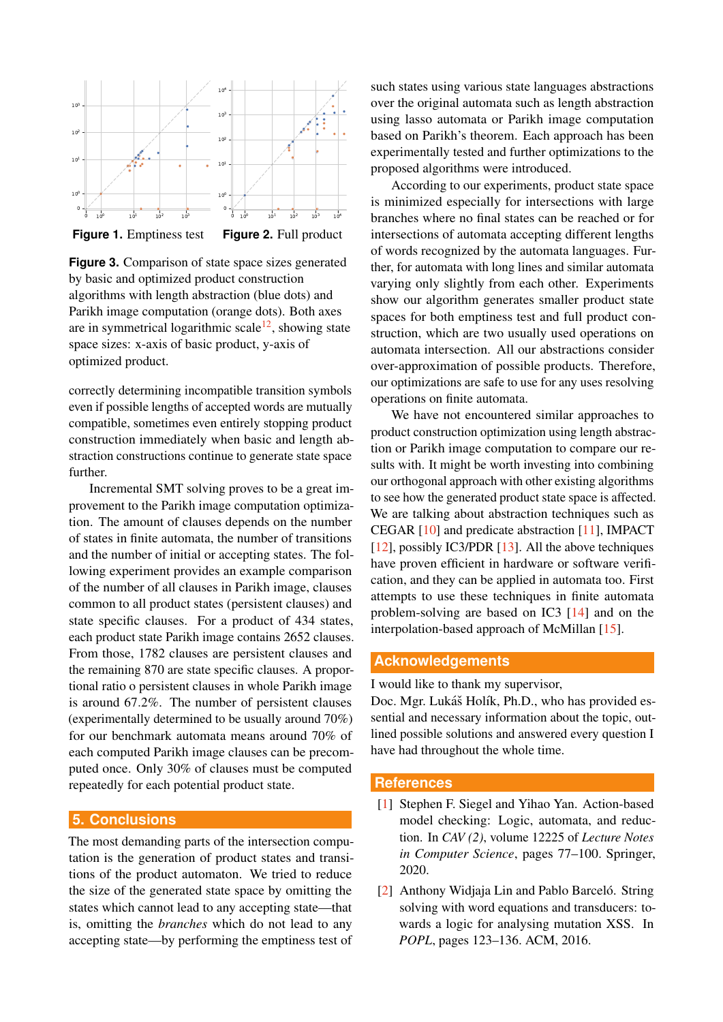<span id="page-9-2"></span>

**Figure 1.** Emptiness test **Figure 2.** Full product

**Figure 3.** Comparison of state space sizes generated by basic and optimized product construction algorithms with length abstraction (blue dots) and Parikh image computation (orange dots). Both axes are in symmetrical logarithmic scale<sup>[12](#page-8-3)</sup>, showing state space sizes: x-axis of basic product, y-axis of optimized product.

correctly determining incompatible transition symbols even if possible lengths of accepted words are mutually compatible, sometimes even entirely stopping product construction immediately when basic and length abstraction constructions continue to generate state space further.

Incremental SMT solving proves to be a great improvement to the Parikh image computation optimization. The amount of clauses depends on the number of states in finite automata, the number of transitions and the number of initial or accepting states. The following experiment provides an example comparison of the number of all clauses in Parikh image, clauses common to all product states (persistent clauses) and state specific clauses. For a product of 434 states, each product state Parikh image contains 2652 clauses. From those, 1782 clauses are persistent clauses and the remaining 870 are state specific clauses. A proportional ratio o persistent clauses in whole Parikh image is around 67.2%. The number of persistent clauses (experimentally determined to be usually around 70%) for our benchmark automata means around 70% of each computed Parikh image clauses can be precomputed once. Only 30% of clauses must be computed repeatedly for each potential product state.

# **5. Conclusions**

The most demanding parts of the intersection computation is the generation of product states and transitions of the product automaton. We tried to reduce the size of the generated state space by omitting the states which cannot lead to any accepting state—that is, omitting the *branches* which do not lead to any accepting state—by performing the emptiness test of

such states using various state languages abstractions over the original automata such as length abstraction using lasso automata or Parikh image computation based on Parikh's theorem. Each approach has been experimentally tested and further optimizations to the proposed algorithms were introduced.

According to our experiments, product state space is minimized especially for intersections with large branches where no final states can be reached or for intersections of automata accepting different lengths of words recognized by the automata languages. Further, for automata with long lines and similar automata varying only slightly from each other. Experiments show our algorithm generates smaller product state spaces for both emptiness test and full product construction, which are two usually used operations on automata intersection. All our abstractions consider over-approximation of possible products. Therefore, our optimizations are safe to use for any uses resolving operations on finite automata.

We have not encountered similar approaches to product construction optimization using length abstraction or Parikh image computation to compare our results with. It might be worth investing into combining our orthogonal approach with other existing algorithms to see how the generated product state space is affected. We are talking about abstraction techniques such as CEGAR [\[10\]](#page-10-7) and predicate abstraction [\[11\]](#page-10-8), IMPACT [\[12\]](#page-10-9), possibly IC3/PDR [\[13\]](#page-10-10). All the above techniques have proven efficient in hardware or software verification, and they can be applied in automata too. First attempts to use these techniques in finite automata problem-solving are based on IC3 [\[14\]](#page-10-11) and on the interpolation-based approach of McMillan [\[15\]](#page-10-12).

#### **Acknowledgements**

I would like to thank my supervisor,

Doc. Mgr. Lukáš Holík, Ph.D., who has provided essential and necessary information about the topic, outlined possible solutions and answered every question I have had throughout the whole time.

## **References**

- <span id="page-9-0"></span>[1] Stephen F. Siegel and Yihao Yan. Action-based model checking: Logic, automata, and reduction. In *CAV (2)*, volume 12225 of *Lecture Notes in Computer Science*, pages 77–100. Springer, 2020.
- <span id="page-9-1"></span>[2] Anthony Widjaja Lin and Pablo Barceló. String solving with word equations and transducers: towards a logic for analysing mutation XSS. In *POPL*, pages 123–136. ACM, 2016.